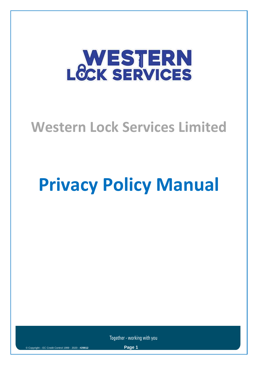# **WESTERN**<br>LOCK SERVICES

# **Western Lock Services Limited**

# **Privacy Policy Manual**

Together - working with you

Page 1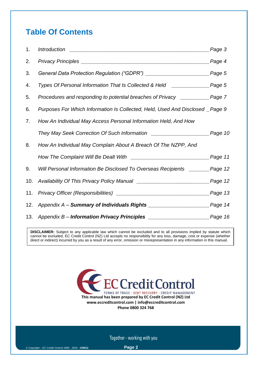# **Table Of Contents**

| 1.  | <b>Introduction</b><br><u> 2000 - 2000 - 2000 - 2000 - 2000 - 2000 - 2000 - 2000 - 2000 - 2000 - 2000 - 2000 - 2000 - 2000 - 2000 - 200</u> | Page 3              |
|-----|---------------------------------------------------------------------------------------------------------------------------------------------|---------------------|
| 2.  |                                                                                                                                             | <sub>-</sub> Page 4 |
| 3.  |                                                                                                                                             | Page 5              |
| 4.  | Types Of Personal Information That Is Collected & Held __________________Page 5                                                             |                     |
| 5.  | Procedures and responding to potential breaches of Privacy ____________ Page 7                                                              |                     |
| 6.  | Purposes For Which Information Is Collected, Held, Used And Disclosed _Page 9                                                               |                     |
| 7.  | How An Individual May Access Personal Information Held, And How                                                                             |                     |
|     |                                                                                                                                             |                     |
| 8.  | How An Individual May Complain About A Breach Of The NZPP, And                                                                              |                     |
|     |                                                                                                                                             | Page 11             |
| 9.  | Will Personal Information Be Disclosed To Overseas Recipients _______ Page 12                                                               |                     |
| 10. |                                                                                                                                             | Page 12             |
| 11. |                                                                                                                                             | Page 13             |
| 12. |                                                                                                                                             |                     |
| 13. |                                                                                                                                             |                     |

**DISCLAIMER:** Subject to any applicable law which cannot be excluded and to all provisions implied by statute which cannot be excluded, EC Credit Control (NZ) Ltd accepts no responsibility for any loss, damage, cost or expense (whether direct or indirect) incurred by you as a result of any error, omission or misrepresentation in any information in this manual.

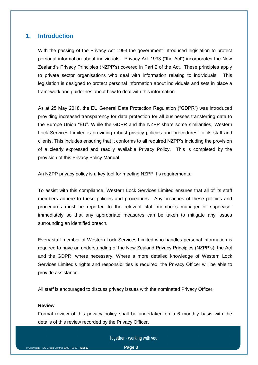#### **1. Introduction**

With the passing of the Privacy Act 1993 the government introduced legislation to protect personal information about individuals. Privacy Act 1993 ("the Act") incorporates the New Zealand's Privacy Principles (NZPP's) covered in Part 2 of the Act. These principles apply to private sector organisations who deal with information relating to individuals. This legislation is designed to protect personal information about individuals and sets in place a framework and guidelines about how to deal with this information.

As at 25 May 2018, the EU General Data Protection Regulation ("GDPR") was introduced providing increased transparency for data protection for all businesses transferring data to the Europe Union "EU". While the GDPR and the NZPP share some similarities, Western Lock Services Limited is providing robust privacy policies and procedures for its staff and clients. This includes ensuring that it conforms to all required NZPP's including the provision of a clearly expressed and readily available Privacy Policy. This is completed by the provision of this Privacy Policy Manual.

An NZPP privacy policy is a key tool for meeting NZPP 1's requirements.

To assist with this compliance, Western Lock Services Limited ensures that all of its staff members adhere to these policies and procedures. Any breaches of these policies and procedures must be reported to the relevant staff member's manager or supervisor immediately so that any appropriate measures can be taken to mitigate any issues surrounding an identified breach.

Every staff member of Western Lock Services Limited who handles personal information is required to have an understanding of the New Zealand Privacy Principles (NZPP's), the Act and the GDPR, where necessary. Where a more detailed knowledge of Western Lock Services Limited's rights and responsibilities is required, the Privacy Officer will be able to provide assistance.

All staff is encouraged to discuss privacy issues with the nominated Privacy Officer.

#### **Review**

Formal review of this privacy policy shall be undertaken on a 6 monthly basis with the details of this review recorded by the Privacy Officer.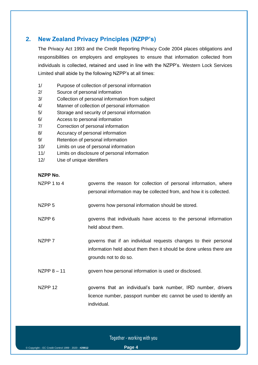### **2. New Zealand Privacy Principles (NZPP's)**

The Privacy Act 1993 and the Credit Reporting Privacy Code 2004 places obligations and responsibilities on employers and employees to ensure that information collected from individuals is collected, retained and used in line with the NZPP's. Western Lock Services Limited shall abide by the following NZPP's at all times:

- 1/ Purpose of collection of personal information
- 2/ Source of personal information
- 3/ Collection of personal information from subject
- 4/ Manner of collection of personal information
- 5/ Storage and security of personal information
- 6/ Access to personal information
- 7/ Correction of personal information
- 8/ Accuracy of personal information
- 9/ Retention of personal information
- 10/ Limits on use of personal information
- 11/ Limits on disclosure of personal information
- 12/ Use of unique identifiers

#### **NZPP No.**

| NZPP 1 to 4        | governs the reason for collection of personal information, where<br>personal information may be collected from, and how it is collected.                         |
|--------------------|------------------------------------------------------------------------------------------------------------------------------------------------------------------|
| NZPP <sub>5</sub>  | governs how personal information should be stored.                                                                                                               |
| NZPP <sub>6</sub>  | governs that individuals have access to the personal information<br>held about them.                                                                             |
| NZPP 7             | governs that if an individual requests changes to their personal<br>information held about them then it should be done unless there are<br>grounds not to do so. |
| NZPP $8 - 11$      | govern how personal information is used or disclosed.                                                                                                            |
| NZPP <sub>12</sub> | governs that an individual's bank number, IRD number, drivers<br>licence number, passport number etc cannot be used to identify an<br>individual.                |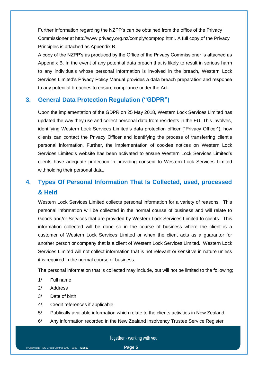Further information regarding the NZPP's can be obtained from the office of the Privacy Commissioner at [http://www.privacy.org.nz/comply/comptop.html.](http://www.privacy.org.nz/comply/comptop.html) A full copy of the Privacy Principles is attached as Appendix B.

A copy of the NZPP's as produced by the Office of the Privacy Commissioner is attached as Appendix B. In the event of any potential data breach that is likely to result in serious harm to any individuals whose personal information is involved in the breach, Western Lock Services Limited's Privacy Policy Manual provides a data breach preparation and response to any potential breaches to ensure compliance under the Act.

#### **3. General Data Protection Regulation ("GDPR")**

Upon the implementation of the GDPR on 25 May 2018, Western Lock Services Limited has updated the way they use and collect personal data from residents in the EU. This involves, identifying Western Lock Services Limited's data protection officer ("Privacy Officer"), how clients can contact the Privacy Officer and identifying the process of transferring client's personal information. Further, the implementation of cookies notices on Western Lock Services Limited's website has been activated to ensure Western Lock Services Limited's clients have adequate protection in providing consent to Western Lock Services Limited withholding their personal data.

## **4. Types Of Personal Information That Is Collected, used, processed & Held**

Western Lock Services Limited collects personal information for a variety of reasons. This personal information will be collected in the normal course of business and will relate to Goods and/or Services that are provided by Western Lock Services Limited to clients. This information collected will be done so in the course of business where the client is a customer of Western Lock Services Limited or when the client acts as a guarantor for another person or company that is a client of Western Lock Services Limited. Western Lock Services Limited will not collect information that is not relevant or sensitive in nature unless it is required in the normal course of business.

The personal information that is collected may include, but will not be limited to the following;

- 1/ Full name
- 2/ Address
- 3/ Date of birth
- 4/ Credit references if applicable
- 5/ Publically available information which relate to the clients activities in New Zealand
- 6/ Any information recorded in the New Zealand Insolvency Trustee Service Register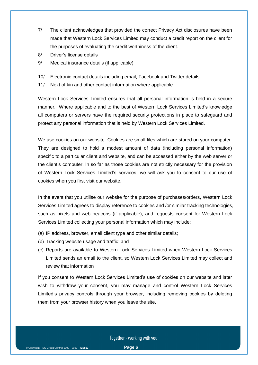- 7/ The client acknowledges that provided the correct Privacy Act disclosures have been made that Western Lock Services Limited may conduct a credit report on the client for the purposes of evaluating the credit worthiness of the client.
- 8/ Driver's license details
- 9/ Medical insurance details (if applicable)
- 10/ Electronic contact details including email, Facebook and Twitter details
- 11/ Next of kin and other contact information where applicable

Western Lock Services Limited ensures that all personal information is held in a secure manner. Where applicable and to the best of Western Lock Services Limited's knowledge all computers or servers have the required security protections in place to safeguard and protect any personal information that is held by Western Lock Services Limited.

We use cookies on our website. Cookies are small files which are stored on your computer. They are designed to hold a modest amount of data (including personal information) specific to a particular client and website, and can be accessed either by the web server or the client's computer. In so far as those cookies are not strictly necessary for the provision of Western Lock Services Limited's services, we will ask you to consent to our use of cookies when you first visit our website.

In the event that you utilise our website for the purpose of purchases/orders, Western Lock Services Limited agrees to display reference to cookies and /or similar tracking technologies, such as pixels and web beacons (if applicable), and requests consent for Western Lock Services Limited collecting your personal information which may include:

- (a) IP address, browser, email client type and other similar details;
- (b) Tracking website usage and traffic; and
- (c) Reports are available to Western Lock Services Limited when Western Lock Services Limited sends an email to the client, so Western Lock Services Limited may collect and review that information

If you consent to Western Lock Services Limited's use of cookies on our website and later wish to withdraw your consent, you may manage and control Western Lock Services Limited's privacy controls through your browser, including removing cookies by deleting them from your browser history when you leave the site.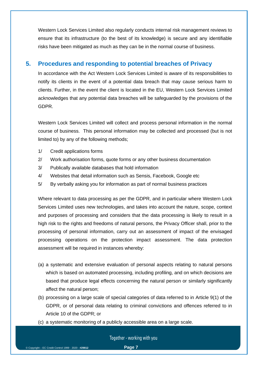Western Lock Services Limited also regularly conducts internal risk management reviews to ensure that its infrastructure (to the best of its knowledge) is secure and any identifiable risks have been mitigated as much as they can be in the normal course of business.

#### **5. Procedures and responding to potential breaches of Privacy**

In accordance with the Act Western Lock Services Limited is aware of its responsibilities to notify its clients in the event of a potential data breach that may cause serious harm to clients. Further, in the event the client is located in the EU, Western Lock Services Limited acknowledges that any potential data breaches will be safeguarded by the provisions of the GDPR.

Western Lock Services Limited will collect and process personal information in the normal course of business. This personal information may be collected and processed (but is not limited to) by any of the following methods;

- 1/ Credit applications forms
- 2/ Work authorisation forms, quote forms or any other business documentation
- 3/ Publically available databases that hold information
- 4/ Websites that detail information such as Sensis, Facebook, Google etc
- 5/ By verbally asking you for information as part of normal business practices

Where relevant to data processing as per the GDPR, and in particular where Western Lock Services Limited uses new technologies, and takes into account the nature, scope, context and purposes of processing and considers that the data processing is likely to result in a high risk to the rights and freedoms of natural persons, the Privacy Officer shall, prior to the processing of personal information, carry out an assessment of impact of the envisaged processing operations on the protection impact assessment. The data protection assessment will be required in instances whereby:

- (a) a systematic and extensive evaluation of personal aspects relating to natural persons which is based on automated processing, including profiling, and on which decisions are based that produce legal effects concerning the natural person or similarly significantly affect the natural person;
- (b) processing on a large scale of special categories of data referred to in [Article 9\(](https://gdpr-info.eu/art-9-gdpr/)1) of the GDPR, or of personal data relating to criminal convictions and offences referred to in [Article 10](https://gdpr-info.eu/art-10-gdpr/) of the GDPR; or
- (c) a systematic monitoring of a publicly accessible area on a large scale.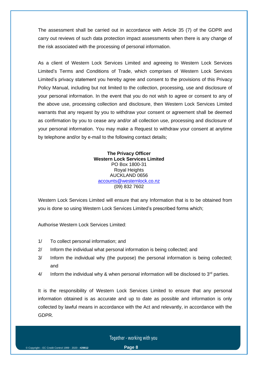The assessment shall be carried out in accordance with Article 35 (7) of the GDPR and carry out reviews of such data protection impact assessments when there is any change of the risk associated with the processing of personal information.

As a client of Western Lock Services Limited and agreeing to Western Lock Services Limited's Terms and Conditions of Trade, which comprises of Western Lock Services Limited's privacy statement you hereby agree and consent to the provisions of this Privacy Policy Manual, including but not limited to the collection, processing, use and disclosure of your personal information. In the event that you do not wish to agree or consent to any of the above use, processing collection and disclosure, then Western Lock Services Limited warrants that any request by you to withdraw your consent or agreement shall be deemed as confirmation by you to cease any and/or all collection use, processing and disclosure of your personal information. You may make a Request to withdraw your consent at anytime by telephone and/or by e-mail to the following contact details;

> **The Privacy Officer Western Lock Services Limited** PO Box 1800-31 Royal Heights AUCKLAND 0656 [accounts@westernlock.co.nz](mailto:accounts@westernlock.co.nz) (09) 832 7602

Western Lock Services Limited will ensure that any Information that is to be obtained from you is done so using Western Lock Services Limited's prescribed forms which;

Authorise Western Lock Services Limited:

- 1/ To collect personal information; and
- 2/ Inform the individual what personal information is being collected; and
- 3/ Inform the individual why (the purpose) the personal information is being collected; and
- $4/$  Inform the individual why & when personal information will be disclosed to  $3<sup>rd</sup>$  parties.

It is the responsibility of Western Lock Services Limited to ensure that any personal information obtained is as accurate and up to date as possible and information is only collected by lawful means in accordance with the Act and relevantly, in accordance with the GDPR.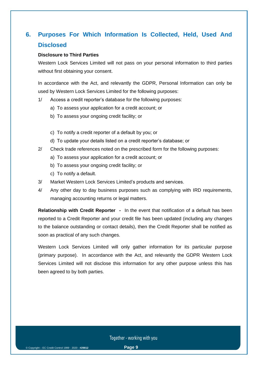## **6. Purposes For Which Information Is Collected, Held, Used And Disclosed**

#### **Disclosure to Third Parties**

Western Lock Services Limited will not pass on your personal information to third parties without first obtaining your consent.

In accordance with the Act, and relevantly the GDPR, Personal Information can only be used by Western Lock Services Limited for the following purposes:

- 1/ Access a credit reporter's database for the following purposes:
	- a) To assess your application for a credit account; or
	- b) To assess your ongoing credit facility; or
	- c) To notify a credit reporter of a default by you; or
	- d) To update your details listed on a credit reporter's database; or
- 2/ Check trade references noted on the prescribed form for the following purposes:
	- a) To assess your application for a credit account; or
	- b) To assess your ongoing credit facility; or
	- c) To notify a default.
- 3/ Market Western Lock Services Limited's products and services.
- 4/ Any other day to day business purposes such as complying with IRD requirements, managing accounting returns or legal matters.

**Relationship with Credit Reporter -** In the event that notification of a default has been reported to a Credit Reporter and your credit file has been updated (including any changes to the balance outstanding or contact details), then the Credit Reporter shall be notified as soon as practical of any such changes.

Western Lock Services Limited will only gather information for its particular purpose (primary purpose). In accordance with the Act, and relevantly the GDPR Western Lock Services Limited will not disclose this information for any other purpose unless this has been agreed to by both parties.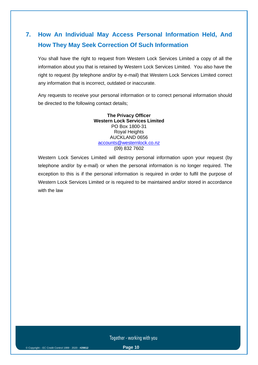# **7. How An Individual May Access Personal Information Held, And How They May Seek Correction Of Such Information**

You shall have the right to request from Western Lock Services Limited a copy of all the information about you that is retained by Western Lock Services Limited. You also have the right to request (by telephone and/or by e-mail) that Western Lock Services Limited correct any information that is incorrect, outdated or inaccurate.

Any requests to receive your personal information or to correct personal information should be directed to the following contact details;

> **The Privacy Officer Western Lock Services Limited** PO Box 1800-31 Royal Heights AUCKLAND 0656 [accounts@westernlock.co.nz](mailto:accounts@westernlock.co.nz) (09) 832 7602

Western Lock Services Limited will destroy personal information upon your request (by telephone and/or by e-mail) or when the personal information is no longer required. The exception to this is if the personal information is required in order to fulfil the purpose of Western Lock Services Limited or is required to be maintained and/or stored in accordance with the law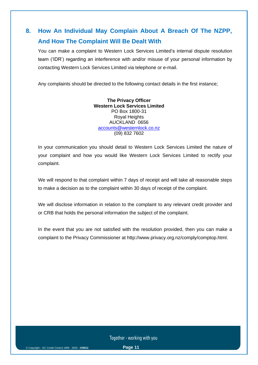# **8. How An Individual May Complain About A Breach Of The NZPP, And How The Complaint Will Be Dealt With**

You can make a complaint to Western Lock Services Limited's internal dispute resolution team ('IDR') regarding an interference with and/or misuse of your personal information by contacting Western Lock Services Limited via telephone or e-mail.

Any complaints should be directed to the following contact details in the first instance;

#### **The Privacy Officer Western Lock Services Limited** PO Box 1800-31 Royal Heights AUCKLAND 0656 [accounts@westernlock.co.nz](mailto:accounts@westernlock.co.nz) (09) 832 7602

In your communication you should detail to Western Lock Services Limited the nature of your complaint and how you would like Western Lock Services Limited to rectify your complaint.

We will respond to that complaint within 7 days of receipt and will take all reasonable steps to make a decision as to the complaint within 30 days of receipt of the complaint.

We will disclose information in relation to the complaint to any relevant credit provider and or CRB that holds the personal information the subject of the complaint.

In the event that you are not satisfied with the resolution provided, then you can make a complaint to the Privacy Commissioner at [http://www.privacy.org.nz/comply/comptop.html.](http://www.privacy.org.nz/comply/comptop.html)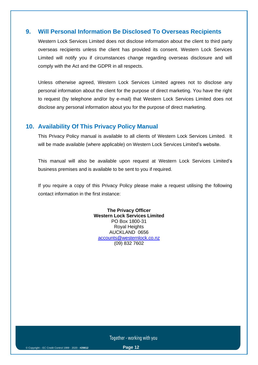#### **9. Will Personal Information Be Disclosed To Overseas Recipients**

Western Lock Services Limited does not disclose information about the client to third party overseas recipients unless the client has provided its consent. Western Lock Services Limited will notify you if circumstances change regarding overseas disclosure and will comply with the Act and the GDPR in all respects.

Unless otherwise agreed, Western Lock Services Limited agrees not to disclose any personal information about the client for the purpose of direct marketing. You have the right to request (by telephone and/or by e-mail) that Western Lock Services Limited does not disclose any personal information about you for the purpose of direct marketing.

#### **10. Availability Of This Privacy Policy Manual**

This Privacy Policy manual is available to all clients of Western Lock Services Limited. It will be made available (where applicable) on Western Lock Services Limited's website.

This manual will also be available upon request at Western Lock Services Limited's business premises and is available to be sent to you if required.

If you require a copy of this Privacy Policy please make a request utilising the following contact information in the first instance:

> **The Privacy Officer Western Lock Services Limited** PO Box 1800-31 Royal Heights AUCKLAND 0656 [accounts@westernlock.co.nz](mailto:accounts@westernlock.co.nz) (09) 832 7602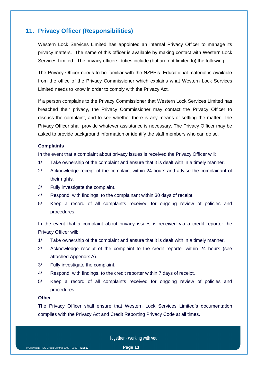#### **11. Privacy Officer (Responsibilities)**

Western Lock Services Limited has appointed an internal Privacy Officer to manage its privacy matters. The name of this officer is available by making contact with Western Lock Services Limited. The privacy officers duties include (but are not limited to) the following:

The Privacy Officer needs to be familiar with the NZPP's. Educational material is available from the office of the Privacy Commissioner which explains what Western Lock Services Limited needs to know in order to comply with the Privacy Act.

If a person complains to the Privacy Commissioner that Western Lock Services Limited has breached their privacy, the Privacy Commissioner may contact the Privacy Officer to discuss the complaint, and to see whether there is any means of settling the matter. The Privacy Officer shall provide whatever assistance is necessary. The Privacy Officer may be asked to provide background information or identify the staff members who can do so.

#### **Complaints**

In the event that a complaint about privacy issues is received the Privacy Officer will:

- 1/ Take ownership of the complaint and ensure that it is dealt with in a timely manner.
- 2/ Acknowledge receipt of the complaint within 24 hours and advise the complainant of their rights.
- 3/ Fully investigate the complaint.
- 4/ Respond, with findings, to the complainant within 30 days of receipt.
- 5/ Keep a record of all complaints received for ongoing review of policies and procedures.

In the event that a complaint about privacy issues is received via a credit reporter the Privacy Officer will:

- 1/ Take ownership of the complaint and ensure that it is dealt with in a timely manner.
- 2/ Acknowledge receipt of the complaint to the credit reporter within 24 hours (see attached Appendix A).
- 3/ Fully investigate the complaint.
- 4/ Respond, with findings, to the credit reporter within 7 days of receipt.
- 5/ Keep a record of all complaints received for ongoing review of policies and procedures.

#### **Other**

The Privacy Officer shall ensure that Western Lock Services Limited's documentation complies with the Privacy Act and Credit Reporting Privacy Code at all times.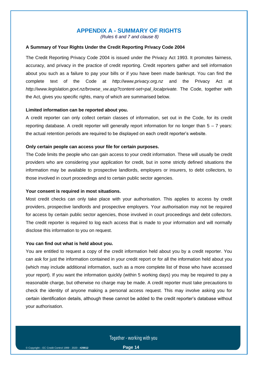#### **APPENDIX A - SUMMARY OF RIGHTS**

*(Rules 6 and 7 and clause 8)*

#### **A Summary of Your Rights Under the Credit Reporting Privacy Code 2004**

The Credit Reporting Privacy Code 2004 is issued under the Privacy Act 1993. It promotes fairness, accuracy, and privacy in the practice of credit reporting. Credit reporters gather and sell information about you such as a failure to pay your bills or if you have been made bankrupt. You can find the complete text of the Code at *http://www.privacy.org.nz* and the Privacy Act at *http://www.legislation.govt.nz/browse\_vw.asp?content-set=pal\_localprivate.* The Code, together with the Act, gives you specific rights, many of which are summarised below.

#### **Limited information can be reported about you.**

A credit reporter can only collect certain classes of information, set out in the Code, for its credit reporting database. A credit reporter will generally report information for no longer than  $5 - 7$  years: the actual retention periods are required to be displayed on each credit reporter's website.

#### **Only certain people can access your file for certain purposes.**

The Code limits the people who can gain access to your credit information. These will usually be credit providers who are considering your application for credit, but in some strictly defined situations the information may be available to prospective landlords, employers or insurers, to debt collectors, to those involved in court proceedings and to certain public sector agencies.

#### **Your consent is required in most situations.**

Most credit checks can only take place with your authorisation. This applies to access by credit providers, prospective landlords and prospective employers. Your authorisation may not be required for access by certain public sector agencies, those involved in court proceedings and debt collectors. The credit reporter is required to log each access that is made to your information and will normally disclose this information to you on request.

#### **You can find out what is held about you.**

You are entitled to request a copy of the credit information held about you by a credit reporter. You can ask for just the information contained in your credit report or for all the information held about you (which may include additional information, such as a more complete list of those who have accessed your report). If you want the information quickly (within 5 working days) you may be required to pay a reasonable charge, but otherwise no charge may be made. A credit reporter must take precautions to check the identity of anyone making a personal access request. This may involve asking you for certain identification details, although these cannot be added to the credit reporter's database without your authorisation.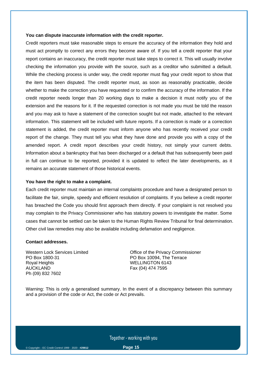#### **You can dispute inaccurate information with the credit reporter.**

Credit reporters must take reasonable steps to ensure the accuracy of the information they hold and must act promptly to correct any errors they become aware of. If you tell a credit reporter that your report contains an inaccuracy, the credit reporter must take steps to correct it. This will usually involve checking the information you provide with the source, such as a creditor who submitted a default. While the checking process is under way, the credit reporter must flag your credit report to show that the item has been disputed. The credit reporter must, as soon as reasonably practicable, decide whether to make the correction you have requested or to confirm the accuracy of the information. If the credit reporter needs longer than 20 working days to make a decision it must notify you of the extension and the reasons for it. If the requested correction is not made you must be told the reason and you may ask to have a statement of the correction sought but not made, attached to the relevant information. This statement will be included with future reports. If a correction is made or a correction statement is added, the credit reporter must inform anyone who has recently received your credit report of the change. They must tell you what they have done and provide you with a copy of the amended report. A credit report describes your credit history, not simply your current debts. Information about a bankruptcy that has been discharged or a default that has subsequently been paid in full can continue to be reported, provided it is updated to reflect the later developments, as it remains an accurate statement of those historical events.

#### **You have the right to make a complaint.**

Each credit reporter must maintain an internal complaints procedure and have a designated person to facilitate the fair, simple, speedy and efficient resolution of complaints. If you believe a credit reporter has breached the Code you should first approach them directly. If your complaint is not resolved you may complain to the Privacy Commissioner who has statutory powers to investigate the matter. Some cases that cannot be settled can be taken to the Human Rights Review Tribunal for final determination. Other civil law remedies may also be available including defamation and negligence.

#### **Contact addresses.**

Western Lock Services Limited PO Box 1800-31 Royal Heights AUCKLAND Ph (09) 832 7602

Office of the Privacy Commissioner PO Box 10094, The Terrace WELLINGTON 6143 Fax (04) 474 7595

Warning: This is only a generalised summary. In the event of a discrepancy between this summary and a provision of the code or Act, the code or Act prevails.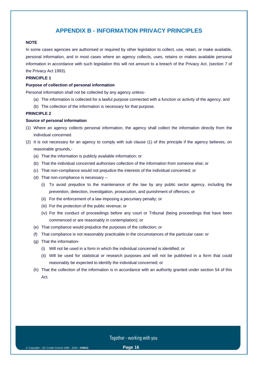#### **APPENDIX B - INFORMATION PRIVACY PRINCIPLES**

#### **NOTE**

In some cases agencies are authorised or required by other legislation to collect, use, retain, or make available, personal information, and in most cases where an agency collects, uses, retains or makes available personal information in accordance with such legislation this will not amount to a breach of the Privacy Act. (section 7 of the Privacy Act 1993).

#### **PRINCIPLE 1**

#### **Purpose of collection of personal information**

Personal information shall not be collected by any agency unless-

- (a) The information is collected for a lawful purpose connected with a function or activity of the agency; and
- (b) The collection of the information is necessary for that purpose.

#### **PRINCIPLE 2**

#### **Source of personal information**

- (1) Where an agency collects personal information, the agency shall collect the information directly from the individual concerned.
- (2) It is not necessary for an agency to comply with sub clause (1) of this principle if the agency believes, on reasonable grounds,-
	- (a) That the information is publicly available information; or
	- (b) That the individual concerned authorises collection of the information from someone else; or
	- (c) That non-compliance would not prejudice the interests of the individual concerned; or
	- (d) That non-compliance is necessary --
		- (i) To avoid prejudice to the maintenance of the law by any public sector agency, including the prevention, detection, investigation, prosecution, and punishment of offences; or
		- (ii) For the enforcement of a law imposing a pecuniary penalty; or
		- (iii) For the protection of the public revenue; or
		- (iv) For the conduct of proceedings before any court or Tribunal (being proceedings that have been commenced or are reasonably in contemplation); or
	- (e) That compliance would prejudice the purposes of the collection; or
	- (f) That compliance is not reasonably practicable in the circumstances of the particular case: or
	- (g) That the information-
		- (i) Will not be used in a form in which the individual concerned is identified; or
		- (ii) Will be used for statistical or research purposes and will not be published in a form that could reasonably be expected to identify the individual concerned; or
	- (h) That the collection of the information is in accordance with an authority granted under section 54 of this Act.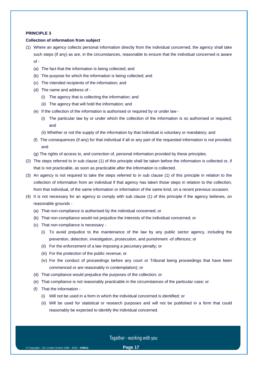#### **PRINCIPLE 3**

#### **Collection of information from subject**

- (1) Where an agency collects personal information directly from the individual concerned, the agency shall take such steps (if any) as are, in the circumstances, reasonable to ensure that the individual concerned is aware of -
	- (a) The fact that the information is being collected; and
	- (b) The purpose for which the information is being collected; and
	- (c) The intended recipients of the information; and
	- (d) The name and address of
		- (i) The agency that is collecting the information; and
		- (ii) The agency that will hold the information; and
	- (e) If the collection of the information is authorised or required by or under law
		- (i) The particular law by or under which the collection of the information is so authorised or required; and
		- (ii) Whether or not the supply of the information by that individual is voluntary or mandatory; and
	- (f) The consequences (if any) for that individual if all or any part of the requested information is not provided; and
	- (g) The rights of access to, and correction of, personal information provided by these principles.
- (2) The steps referred to in sub clause (1) of this principle shall be taken before the information is collected or, if that is not practicable, as soon as practicable after the information is collected.
- (3) An agency is not required to take the steps referred to in sub clause (1) of this principle in relation to the collection of information from an individual if that agency has taken those steps in relation to the collection, from that individual, of the same information or information of the same kind, on a recent previous occasion.
- (4) It is not necessary for an agency to comply with sub clause (1) of this principle if the agency believes, on reasonable grounds -
	- (a) That non-compliance is authorised by the individual concerned; or
	- (b) That non-compliance would not prejudice the interests of the individual concerned; or
	- (c) That non-compliance is necessary
		- (i) To avoid prejudice to the maintenance of the law by any public sector agency, including the prevention, detection, investigation, prosecution, and punishment -of offences; or
		- (ii) For the enforcement of a law imposing a pecuniary penalty; or
		- (iii) For the protection of the public revenue; or
		- (iv) For the conduct of proceedings before any court or Tribunal being proceedings that have been commenced or are reasonably in contemplation); or
	- (d) That compliance would prejudice the purposes of the collection; or
	- (e) That compliance is not reasonably practicable in the circumstances of the particular case; or
	- (f) That the information
		- (i) Will not be used in a form in which the individual concerned is identified; or
		- (ii) Will be used for statistical or research purposes and will not be published in a form that could reasonably be expected to identify the individual concerned.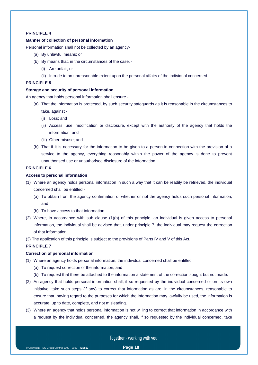#### **PRINCIPLE 4**

#### **Manner of collection of personal information**

Personal information shall not be collected by an agency-

- (a) By unlawful means; or
- (b) By means that, in the circumstances of the case,
	- (i) Are unfair; or
	- (ii) Intrude to an unreasonable extent upon the personal affairs of the individual concerned.

#### **PRINCIPLE 5**

#### **Storage and security of personal information**

An agency that holds personal information shall ensure -

- (a) That the information is protected, by such security safeguards as it is reasonable in the circumstances to take, against -
	- (i) Loss; and
	- (ii) Access, use, modification or disclosure, except with the authority of the agency that holds the information; and
	- (iii) Other misuse; and
- (b) That if it is necessary for the information to be given to a person in connection with the provision of a service to the agency, everything reasonably within the power of the agency is done to prevent unauthorised use or unauthorised disclosure of the information.

#### **PRINCIPLE 6**

#### **Access to personal information**

- (1) Where an agency holds personal information in such a way that it can be readily be retrieved, the individual concerned shall be entitled -
	- (a) To obtain from the agency confirmation of whether or not the agency holds such personal information; and
	- (b) To have access to that information.
- (2) Where, in accordance with sub clause (1)(b) of this principle, an individual is given access to personal information, the individual shall be advised that, under principle 7, the individual may request the correction of that information.
- (3) The application of this principle is subject to the provisions of Parts IV and V of this Act.

#### **PRINCIPLE 7**

#### **Correction of personal information**

- (1) Where an agency holds personal information, the individual concerned shall be entitled
	- (a) To request correction of the information; and
	- (b) To request that there be attached to the information a statement of the correction sought but not made.
- (2) An agency that holds personal information shall, if so requested by the individual concerned or on its own initiative, take such steps (if any) to correct that information as are, in the circumstances, reasonable to ensure that, having regard to the purposes for which the information may lawfully be used, the information is accurate, up to date, complete, and not misleading.
- (3) Where an agency that holds personal information is not willing to correct that information in accordance with a request by the individual concerned, the agency shall, if so requested by the individual concerned, take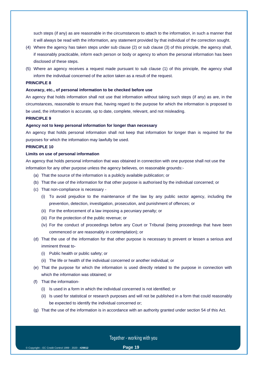such steps (if any) as are reasonable in the circumstances to attach to the information, in such a manner that it will always be read with the information, any statement provided by that individual of the correction sought.

- (4) Where the agency has taken steps under sub clause (2) or sub clause (3) of this principle, the agency shall, if reasonably practicable, inform each person or body or agency to whom the personal information has been disclosed of these steps.
- (5) Where an agency receives a request made pursuant to sub clause (1) of this principle, the agency shall inform the individual concerned of the action taken as a result of the request.

#### **PRINCIPLE 8**

#### **Accuracy, etc., of personal information to be checked before use**

An agency that holds information shall not use that information without taking such steps (if any) as are, in the circumstances, reasonable to ensure that, having regard to the purpose for which the information is proposed to be used, the information is accurate, up to date, complete, relevant, and not misleading.

#### **PRINCIPLE 9**

#### **Agency not to keep personal information for longer than necessary**

An agency that holds personal information shall not keep that information for longer than is required for the purposes for which the information may lawfully be used.

#### **PRINCIPLE 10**

#### **Limits on use of personal information**

An agency that holds personal information that was obtained in connection with one purpose shall not use the information for any other purpose unless the agency believes, on reasonable grounds:-

- (a) That the source of the information is a publicly available publication; or
- (b) That the use of the information for that other purpose is authorised by the individual concerned; or
- (c) That non-compliance is necessary
	- (i) To avoid prejudice to the maintenance of the law by any public sector agency, including the prevention, detection, investigation, prosecution, and punishment of offences; or
	- (ii) For the enforcement of a law imposing a pecuniary penalty; or
	- (iii) For the protection of the public revenue; or
	- (iv) For the conduct of proceedings before any Court or Tribunal (being proceedings that have been commenced or are reasonably in contemplation); or
- (d) That the use of the information for that other purpose is necessary to prevent or lessen a serious and imminent threat to-
	- (i) Public health or public safety; or
	- (ii) The life or health of the individual concerned or another individual; or
- (e) That the purpose for which the information is used directly related to the purpose in connection with which the information was obtained; or
- (f) That the information-
	- (i) Is used in a form in which the individual concerned is not identified; or
	- (ii) Is used for statistical or research purposes and will not be published in a form that could reasonably be expected to identify the individual concerned or;
- (g) That the use of the information is in accordance with an authority granted under section 54 of this Act.